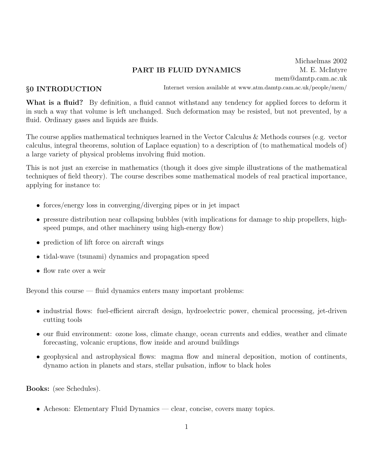# PART IB FLUID DYNAMICS

Michaelmas 2002 M. E. McIntyre mem@damtp.cam.ac.uk

## §0 INTRODUCTION

Internet version available at www.atm.damtp.cam.ac.uk/people/mem/

What is a fluid? By definition, a fluid cannot withstand any tendency for applied forces to deform it in such a way that volume is left unchanged. Such deformation may be resisted, but not prevented, by a fluid. Ordinary gases and liquids are fluids.

The course applies mathematical techniques learned in the Vector Calculus & Methods courses (e.g. vector calculus, integral theorems, solution of Laplace equation) to a description of (to mathematical models of) a large variety of physical problems involving fluid motion.

This is not just an exercise in mathematics (though it does give simple illustrations of the mathematical techniques of field theory). The course describes some mathematical models of real practical importance, applying for instance to:

- forces/energy loss in converging/diverging pipes or in jet impact
- pressure distribution near collapsing bubbles (with implications for damage to ship propellers, highspeed pumps, and other machinery using high-energy flow)
- prediction of lift force on aircraft wings
- tidal-wave (tsunami) dynamics and propagation speed
- flow rate over a weir

Beyond this course — fluid dynamics enters many important problems:

- industrial flows: fuel-efficient aircraft design, hydroelectric power, chemical processing, jet-driven cutting tools
- our fluid environment: ozone loss, climate change, ocean currents and eddies, weather and climate forecasting, volcanic eruptions, flow inside and around buildings
- geophysical and astrophysical flows: magma flow and mineral deposition, motion of continents, dynamo action in planets and stars, stellar pulsation, inflow to black holes

Books: (see Schedules).

• Acheson: Elementary Fluid Dynamics — clear, concise, covers many topics.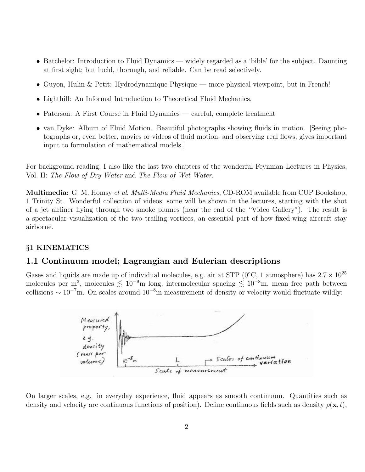- Batchelor: Introduction to Fluid Dynamics widely regarded as a 'bible' for the subject. Daunting at first sight; but lucid, thorough, and reliable. Can be read selectively.
- Guyon, Hulin & Petit: Hydrodynamique Physique more physical viewpoint, but in French!
- Lighthill: An Informal Introduction to Theoretical Fluid Mechanics.
- Paterson: A First Course in Fluid Dynamics careful, complete treatment
- van Dyke: Album of Fluid Motion. Beautiful photographs showing fluids in motion. [Seeing photographs or, even better, movies or videos of fluid motion, and observing real flows, gives important input to formulation of mathematical models.]

For background reading, I also like the last two chapters of the wonderful Feynman Lectures in Physics, Vol. II: The Flow of Dry Water and The Flow of Wet Water.

Multimedia: G. M. Homsy et al, Multi-Media Fluid Mechanics, CD-ROM available from CUP Bookshop, 1 Trinity St. Wonderful collection of videos; some will be shown in the lectures, starting with the shot of a jet airliner flying through two smoke plumes (near the end of the "Video Gallery"). The result is a spectacular visualization of the two trailing vortices, an essential part of how fixed-wing aircraft stay airborne.

### §1 KINEMATICS

### 1.1 Continuum model; Lagrangian and Eulerian descriptions

Gases and liquids are made up of individual molecules, e.g. air at STP (0<sup>°</sup>C, 1 atmosphere) has  $2.7 \times 10^{25}$ molecules per m<sup>3</sup>, molecules  $\lesssim 10^{-9}$ m long, intermolecular spacing  $\lesssim 10^{-8}$ m, mean free path between collisions  $\sim 10^{-7}$ m. On scales around  $10^{-8}$ m measurement of density or velocity would fluctuate wildly:



On larger scales, e.g. in everyday experience, fluid appears as smooth continuum. Quantities such as density and velocity are continuous functions of position). Define continuous fields such as density  $\rho(\mathbf{x}, t)$ ,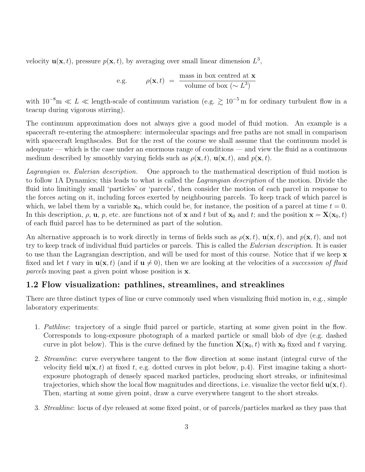velocity  $\mathbf{u}(\mathbf{x},t)$ , pressure  $p(\mathbf{x},t)$ , by averaging over small linear dimension  $L^3$ ,

e.g. 
$$
\rho(\mathbf{x},t) = \frac{\text{mass in box centred at } \mathbf{x}}{\text{volume of box } (\sim L^3)}
$$

with  $10^{-8}$ m  $\ll L \ll$  length-scale of continuum variation (e.g.  $\gtrsim 10^{-5}$  m for ordinary turbulent flow in a teacup during vigorous stirring).

The continuum approximation does not always give a good model of fluid motion. An example is a spacecraft re-entering the atmosphere: intermolecular spacings and free paths are not small in comparison with spacecraft lengthscales. But for the rest of the course we shall assume that the continuum model is adequate — which is the case under an enormous range of conditions — and view the fluid as a continuous medium described by smoothly varying fields such as  $\rho(\mathbf{x}, t)$ ,  $\mathbf{u}(\mathbf{x}, t)$ , and  $p(\mathbf{x}, t)$ .

Lagrangian vs. Eulerian description. One approach to the mathematical description of fluid motion is to follow 1A Dynamics; this leads to what is called the Lagrangian description of the motion. Divide the fluid into limitingly small 'particles' or 'parcels', then consider the motion of each parcel in response to the forces acting on it, including forces exerted by neighbouring parcels. To keep track of which parcel is which, we label them by a variable  $x_0$ , which could be, for instance, the position of a parcel at time  $t = 0$ . In this description,  $\rho$ ,  $\mathbf{u}$ ,  $p$ , etc. are functions not of x and t but of  $\mathbf{x}_0$  and t; and the position  $\mathbf{x} = \mathbf{X}(\mathbf{x}_0, t)$ of each fluid parcel has to be determined as part of the solution.

An alternative approach is to work directly in terms of fields such as  $\rho(\mathbf{x}, t)$ ,  $\mathbf{u}(\mathbf{x}, t)$ , and  $p(\mathbf{x}, t)$ , and not try to keep track of individual fluid particles or parcels. This is called the Eulerian description. It is easier to use than the Lagrangian description, and will be used for most of this course. Notice that if we keep x fixed and let t vary in  $\mathbf{u}(\mathbf{x}, t)$  (and if  $\mathbf{u} \neq 0$ ), then we are looking at the velocities of a succession of fluid parcels moving past a given point whose position is x.

## 1.2 Flow visualization: pathlines, streamlines, and streaklines

There are three distinct types of line or curve commonly used when visualizing fluid motion in, e.g., simple laboratory experiments:

- 1. Pathline: trajectory of a single fluid parcel or particle, starting at some given point in the flow. Corresponds to long-exposure photograph of a marked particle or small blob of dye (e.g. dashed curve in plot below). This is the curve defined by the function  $\mathbf{X}(\mathbf{x}_0, t)$  with  $\mathbf{x}_0$  fixed and t varying.
- 2. Streamline: curve everywhere tangent to the flow direction at some instant (integral curve of the velocity field  $\mathbf{u}(\mathbf{x},t)$  at fixed t, e.g. dotted curves in plot below, p.4). First imagine taking a shortexposure photograph of densely spaced marked particles, producing short streaks, or infinitesimal trajectories, which show the local flow magnitudes and directions, i.e. visualize the vector field  $\mathbf{u}(\mathbf{x}, t)$ . Then, starting at some given point, draw a curve everywhere tangent to the short streaks.
- 3. Streakline: locus of dye released at some fixed point, or of parcels/particles marked as they pass that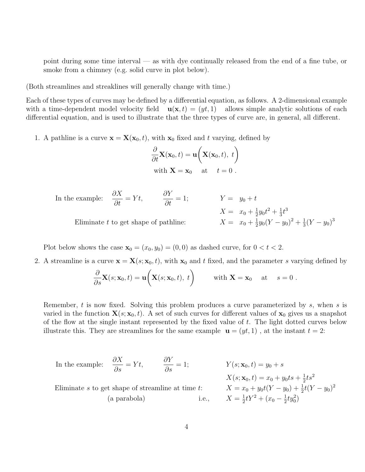point during some time interval — as with dye continually released from the end of a fine tube, or smoke from a chimney (e.g. solid curve in plot below).

(Both streamlines and streaklines will generally change with time.)

Each of these types of curves may be defined by a differential equation, as follows. A 2-dimensional example with a time-dependent model velocity field  $\mathbf{u}(\mathbf{x}, t) = (yt, 1)$  allows simple analytic solutions of each differential equation, and is used to illustrate that the three types of curve are, in general, all different.

1. A pathline is a curve  $\mathbf{x} = \mathbf{X}(\mathbf{x}_0, t)$ , with  $\mathbf{x}_0$  fixed and t varying, defined by

$$
\frac{\partial}{\partial t} \mathbf{X}(\mathbf{x}_0, t) = \mathbf{u} \bigg( \mathbf{X}(\mathbf{x}_0, t), t \bigg)
$$
  
with  $\mathbf{X} = \mathbf{x}_0$  at  $t = 0$ .

In the example: 
$$
\frac{\partial X}{\partial t} = Yt
$$
,  $\frac{\partial Y}{\partial t} = 1$ ;  $Y = y_0 + t$   
\n $X = x_0 + \frac{1}{2}y_0t^2 + \frac{1}{3}t^3$   
\nEliminate *t* to get shape of pathline:  $X = x_0 + \frac{1}{2}y_0(Y - y_0)^2 + \frac{1}{3}(Y - y_0)^3$ 

Plot below shows the case  $\mathbf{x}_0 = (x_0, y_0) = (0, 0)$  as dashed curve, for  $0 < t < 2$ .

2. A streamline is a curve  $\mathbf{x} = \mathbf{X}(s; \mathbf{x}_0, t)$ , with  $\mathbf{x}_0$  and the parameter s varying defined by

$$
\frac{\partial}{\partial s}\mathbf{X}(s; \mathbf{x}_0, t) = \mathbf{u}\bigg(\mathbf{X}(s; \mathbf{x}_0, t), t\bigg) \quad \text{with } \mathbf{X} = \mathbf{x}_0 \quad \text{at} \quad s = 0.
$$

Remember, t is now fixed. Solving this problem produces a curve parameterized by s, when s is varied in the function  $\mathbf{X}(s; \mathbf{x}_0, t)$ . A set of such curves for different values of  $\mathbf{x}_0$  gives us a snapshot of the flow at the single instant represented by the fixed value of t. The light dotted curves below illustrate this. They are streamlines for the same example  $\mathbf{u} = (yt, 1)$ , at the instant  $t = 2$ :

In the example: 
$$
\frac{\partial X}{\partial s} = Yt
$$
,  $\frac{\partial Y}{\partial s} = 1$ ;  $Y(s; \mathbf{x}_0, t) = y_0 + s$   
\n $X(s; \mathbf{x}_0, t) = x_0 + y_0ts + \frac{1}{2}ts^2$   
\nEliminate *s* to get shape of streamline at time *t*:  $X = x_0 + y_0t(Y - y_0) + \frac{1}{2}t(Y - y_0)^2$   
\n(a parabola) i.e.,  $X = \frac{1}{2}tY^2 + (x_0 - \frac{1}{2}ty_0^2)$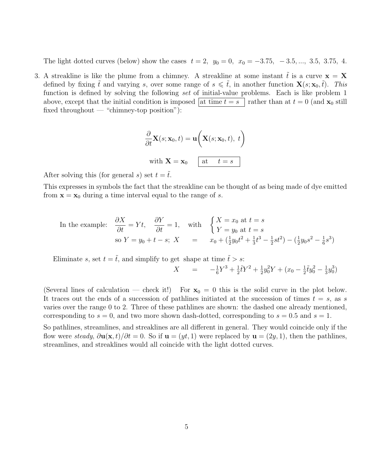The light dotted curves (below) show the cases  $t = 2$ ,  $y_0 = 0$ ,  $x_0 = -3.75$ ,  $-3.5$ , ..., 3.5, 3.75, 4.

3. A streakline is like the plume from a chimney. A streakline at some instant  $\tilde{t}$  is a curve  $\mathbf{x} = \mathbf{X}$ defined by fixing  $\tilde{t}$  and varying s, over some range of  $s \leq \tilde{t}$ , in another function  $\mathbf{X}(s; \mathbf{x}_0, \tilde{t})$ . This function is defined by solving the following set of initial-value problems. Each is like problem 1 above, except that the initial condition is imposed at time  $t = s$  rather than at  $t = 0$  (and  $\mathbf{x}_0$  still fixed throughout — "chimney-top position"):

$$
\frac{\partial}{\partial t} \mathbf{X}(s; \mathbf{x}_0, t) = \mathbf{u} \bigg( \mathbf{X}(s; \mathbf{x}_0, t), t \bigg)
$$
  
with  $\mathbf{X} = \mathbf{x}_0$  at  $t = s$ 

After solving this (for general s) set  $t = \tilde{t}$ .

This expresses in symbols the fact that the streakline can be thought of as being made of dye emitted from  $\mathbf{x} = \mathbf{x}_0$  during a time interval equal to the range of s.

In the example: 
$$
\frac{\partial X}{\partial t} = Yt
$$
,  $\frac{\partial Y}{\partial t} = 1$ , with  $\begin{cases} X = x_0 \text{ at } t = s \\ Y = y_0 \text{ at } t = s \end{cases}$   
so  $Y = y_0 + t - s$ ;  $X = x_0 + (\frac{1}{2}y_0t^2 + \frac{1}{3}t^3 - \frac{1}{2}st^2) - (\frac{1}{2}y_0s^2 - \frac{1}{6}s^3)$ 

Eliminate s, set  $t = \tilde{t}$ , and simplify to get shape at time  $\tilde{t} > s$ .

$$
X = -\frac{1}{6}Y^3 + \frac{1}{2}\tilde{t}Y^2 + \frac{1}{2}y_0^2Y + (x_0 - \frac{1}{2}\tilde{t}y_0^2 - \frac{1}{3}y_0^3)
$$

(Several lines of calculation — check it!) For  $x_0 = 0$  this is the solid curve in the plot below. It traces out the ends of a succession of pathlines initiated at the succession of times  $t = s$ , as s varies over the range 0 to 2. Three of these pathlines are shown: the dashed one already mentioned, corresponding to  $s = 0$ , and two more shown dash-dotted, corresponding to  $s = 0.5$  and  $s = 1$ .

So pathlines, streamlines, and streaklines are all different in general. They would coincide only if the flow were steady,  $\partial {\bf u}({\bf x}, t)/\partial t = 0$ . So if  ${\bf u} = (yt, 1)$  were replaced by  ${\bf u} = (2y, 1)$ , then the pathlines, streamlines, and streaklines would all coincide with the light dotted curves.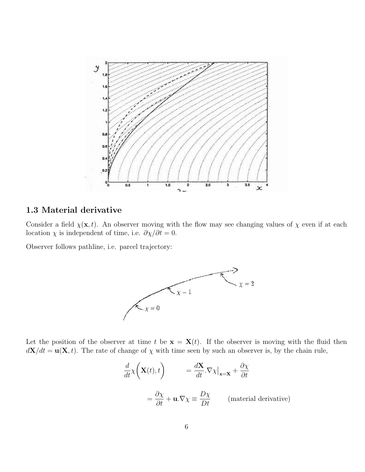

## 1.3 Material derivative

Consider a field  $\chi(\mathbf{x}, t)$ . An observer moving with the flow may see changing values of  $\chi$  even if at each location  $\chi$  is independent of time, i.e.  $\partial \chi / \partial t = 0$ .

Observer follows pathline, i.e. parcel trajectory:



Let the position of the observer at time t be  $\mathbf{x} = \mathbf{X}(t)$ . If the observer is moving with the fluid then  $d\mathbf{X}/dt = \mathbf{u}(\mathbf{X}, t)$ . The rate of change of  $\chi$  with time seen by such an observer is, by the chain rule,

$$
\frac{d}{dt}\chi\left(\mathbf{X}(t),t\right) = \frac{d\mathbf{X}}{dt}.\nabla\chi\big|_{\mathbf{x}=\mathbf{X}} + \frac{\partial\chi}{\partial t}
$$
\n
$$
= \frac{\partial\chi}{\partial t} + \mathbf{u}.\nabla\chi \equiv \frac{D\chi}{Dt} \qquad \text{(material derivative)}
$$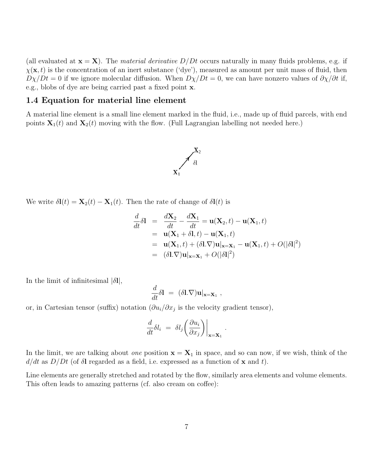(all evaluated at  $\mathbf{x} = \mathbf{X}$ ). The *material derivative D/Dt* occurs naturally in many fluids problems, e.g. if  $\chi(\mathbf{x}, t)$  is the concentration of an inert substance ('dye'), measured as amount per unit mass of fluid, then  $D\chi/Dt = 0$  if we ignore molecular diffusion. When  $D\chi/Dt = 0$ , we can have nonzero values of  $\partial \chi/\partial t$  if, e.g., blobs of dye are being carried past a fixed point x.

#### 1.4 Equation for material line element

A material line element is a small line element marked in the fluid, i.e., made up of fluid parcels, with end points  $\mathbf{X}_1(t)$  and  $\mathbf{X}_2(t)$  moving with the flow. (Full Lagrangian labelling not needed here.)



We write  $\delta \mathbf{l}(t) = \mathbf{X}_2(t) - \mathbf{X}_1(t)$ . Then the rate of change of  $\delta \mathbf{l}(t)$  is

$$
\frac{d}{dt}\delta\mathbf{l} = \frac{d\mathbf{X}_2}{dt} - \frac{d\mathbf{X}_1}{dt} = \mathbf{u}(\mathbf{X}_2, t) - \mathbf{u}(\mathbf{X}_1, t)
$$
\n
$$
= \mathbf{u}(\mathbf{X}_1 + \delta\mathbf{l}, t) - \mathbf{u}(\mathbf{X}_1, t)
$$
\n
$$
= \mathbf{u}(\mathbf{X}_1, t) + (\delta\mathbf{l}.\nabla)\mathbf{u}|_{\mathbf{x}=\mathbf{X}_1} - \mathbf{u}(\mathbf{X}_1, t) + O(|\delta\mathbf{l}|^2)
$$
\n
$$
= (\delta\mathbf{l}.\nabla)\mathbf{u}|_{\mathbf{x}=\mathbf{X}_1} + O(|\delta\mathbf{l}|^2)
$$

.

In the limit of infinitesimal  $|\delta I|$ ,

$$
\frac{d}{dt}\delta\mathbf{l} = (\delta\mathbf{l}.\nabla)\mathbf{u}|_{\mathbf{x}=\mathbf{X}_1},
$$

or, in Cartesian tensor (suffix) notation  $(\partial u_i/\partial x_j)$  is the velocity gradient tensor),

$$
\frac{d}{dt}\delta l_i = \delta l_j \left(\frac{\partial u_i}{\partial x_j}\right)\Big|_{\mathbf{x}=\mathbf{X}_1}
$$

In the limit, we are talking about *one* position  $\mathbf{x} = \mathbf{X}_1$  in space, and so can now, if we wish, think of the  $d/dt$  as  $D/Dt$  (of  $\delta$ l regarded as a field, i.e. expressed as a function of **x** and t).

Line elements are generally stretched and rotated by the flow, similarly area elements and volume elements. This often leads to amazing patterns (cf. also cream on coffee):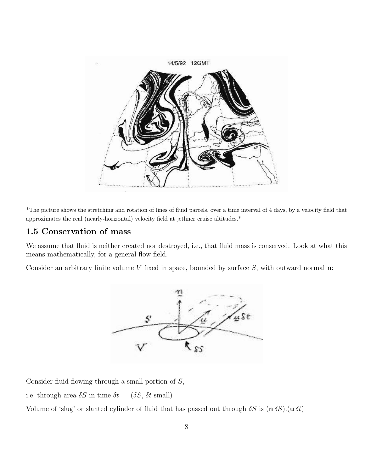

\*The picture shows the stretching and rotation of lines of fluid parcels, over a time interval of 4 days, by a velocity field that approximates the real (nearly-horizontal) velocity field at jetliner cruise altitudes.\*

## 1.5 Conservation of mass

We assume that fluid is neither created nor destroyed, i.e., that fluid mass is conserved. Look at what this means mathematically, for a general flow field.

Consider an arbitrary finite volume  $V$  fixed in space, bounded by surface  $S$ , with outward normal  $n$ :



Consider fluid flowing through a small portion of S,

i.e. through area  $\delta S$  in time  $\delta t$  ( $\delta S$ ,  $\delta t$  small)

Volume of 'slug' or slanted cylinder of fluid that has passed out through  $\delta S$  is  $(n \delta S)$ .  $(u \delta t)$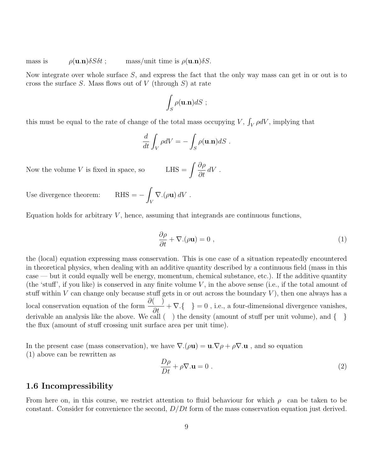mass is  $\rho(\mathbf{u}.\mathbf{n})\delta S \delta t$ ; mass/unit time is  $\rho(\mathbf{u}.\mathbf{n})\delta S$ .

Now integrate over whole surface  $S$ , and express the fact that the only way mass can get in or out is to cross the surface S. Mass flows out of V (through  $S$ ) at rate

$$
\int_{S}\rho(\mathbf{u}.\mathbf{n})dS ;
$$

this must be equal to the rate of change of the total mass occupying  $V$ ,  $\int_V \rho dV$ , implying that

$$
\frac{d}{dt} \int_V \rho dV = - \int_S \rho(\mathbf{u}.\mathbf{n}) dS.
$$

Now the volume  $V$  is fixed in space, so

∂ρ  $\frac{\partial P}{\partial t} dV$ .

Use divergence theorem:  $% \mathcal{H}$ 

Equation holds for arbitrary 
$$
V
$$
, hence, assuming that integrands are continuous functions,

 $\nabla$ .( $\rho$ **u**)  $dV$ .

Z V

$$
\frac{\partial \rho}{\partial t} + \nabla \cdot (\rho \mathbf{u}) = 0 , \qquad (1)
$$

the (local) equation expressing mass conservation. This is one case of a situation repeatedly encountered in theoretical physics, when dealing with an additive quantity described by a continuous field (mass in this case — but it could equally well be energy, momentum, chemical substance, etc.). If the additive quantity (the 'stuff', if you like) is conserved in any finite volume  $V$ , in the above sense (i.e., if the total amount of stuff within  $V$  can change only because stuff gets in or out across the boundary  $V$ ), then one always has a local conservation equation of the form  $\frac{\partial}{\partial t}$  +  $\nabla$ .{ } = 0, i.e., a four-dimensional divergence vanishes, derivable an analysis like the above. We call  $($ ) the density (amount of stuff per unit volume), and  $\{$  } the flux (amount of stuff crossing unit surface area per unit time).

In the present case (mass conservation), we have  $\nabla$ .( $\rho$ **u**) = **u**. $\nabla \rho + \rho \nabla \cdot \mathbf{u}$ , and so equation (1) above can be rewritten as

$$
\frac{D\rho}{Dt} + \rho \nabla \cdot \mathbf{u} = 0 \tag{2}
$$

### 1.6 Incompressibility

From here on, in this course, we restrict attention to fluid behaviour for which  $\rho$  can be taken to be constant. Consider for convenience the second,  $D/Dt$  form of the mass conservation equation just derived.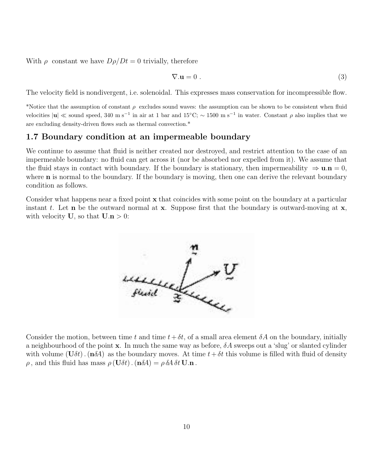With  $\rho$  constant we have  $D\rho/Dt = 0$  trivially, therefore

$$
\nabla \mathbf{u} = 0 \tag{3}
$$

The velocity field is nondivergent, i.e. solenoidal. This expresses mass conservation for incompressible flow.

\*Notice that the assumption of constant  $\rho$  excludes sound waves: the assumption can be shown to be consistent when fluid velocities  $|u| \ll$  sound speed, 340 m s<sup>-1</sup> in air at 1 bar and 15°C;  $\sim 1500$  m s<sup>-1</sup> in water. Constant  $\rho$  also implies that we are excluding density-driven flows such as thermal convection.\*

### 1.7 Boundary condition at an impermeable boundary

We continue to assume that fluid is neither created nor destroyed, and restrict attention to the case of an impermeable boundary: no fluid can get across it (nor be absorbed nor expelled from it). We assume that the fluid stays in contact with boundary. If the boundary is stationary, then impermeability  $\Rightarrow$  **u.n** = 0, where **n** is normal to the boundary. If the boundary is moving, then one can derive the relevant boundary condition as follows.

Consider what happens near a fixed point x that coincides with some point on the boundary at a particular instant t. Let **n** be the outward normal at **x**. Suppose first that the boundary is outward-moving at **x**, with velocity **U**, so that **U**.  $n > 0$ :



Consider the motion, between time t and time  $t+\delta t$ , of a small area element  $\delta A$  on the boundary, initially a neighbourhood of the point **x**. In much the same way as before,  $\delta A$  sweeps out a 'slug' or slanted cylinder with volume  $(\mathbf{U}\delta t)$ . (n $\delta A$ ) as the boundary moves. At time  $t+\delta t$  this volume is filled with fluid of density  $\rho$ , and this fluid has mass  $\rho(\mathbf{U}\delta t) \cdot (\mathbf{n}\delta A) = \rho \delta A \delta t \mathbf{U} \cdot \mathbf{n}$ .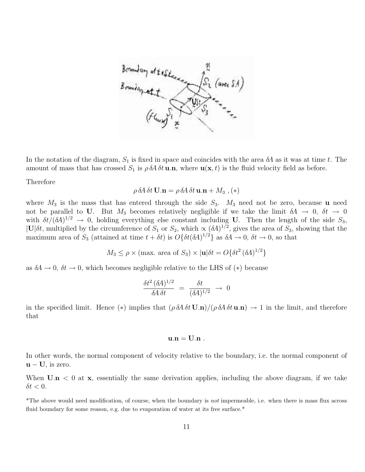

In the notation of the diagram,  $S_1$  is fixed in space and coincides with the area  $\delta A$  as it was at time t. The amount of mass that has crossed  $S_1$  is  $\rho \, \delta \! A \, \delta t \, \mathbf{u} \cdot \mathbf{n}$ , where  $\mathbf{u}(\mathbf{x}, t)$  is the fluid velocity field as before.

Therefore

$$
\rho \,\delta\!A \,\delta t \,\mathbf{U}.\mathbf{n} = \rho \,\delta\!A \,\delta t \,\mathbf{u}.\mathbf{n} + M_3 \ , (*)
$$

where  $M_3$  is the mass that has entered through the side  $S_3$ .  $M_3$  need not be zero, because u need not be parallel to U. But  $M_3$  becomes relatively negligible if we take the limit  $\delta A \to 0$ ,  $\delta t \to 0$ with  $\delta t/(\delta A)^{1/2} \to 0$ , holding everything else constant including U. Then the length of the side  $S_3$ ,  $|U|\delta t$ , multiplied by the circumference of  $S_1$  or  $S_2$ , which  $\propto (\delta A)^{1/2}$ , gives the area of  $S_3$ , showing that the maximum area of  $S_3$  (attained at time  $t + \delta t$ ) is  $O\{\delta t (\delta A)^{1/2}\}\$ as  $\delta A \to 0$ ,  $\delta t \to 0$ , so that

$$
M_3 \le \rho \times (\text{max. area of } S_3) \times |\mathbf{u}| \delta t = O\{\delta t^2 (\delta A)^{1/2}\}\
$$

as  $\delta A \rightarrow 0$ ,  $\delta t \rightarrow 0$ , which becomes negligible relative to the LHS of (\*) because

$$
\frac{\delta t^2 (\delta A)^{1/2}}{\delta A \delta t} = \frac{\delta t}{(\delta A)^{1/2}} \rightarrow 0
$$

in the specified limit. Hence (\*) implies that  $(\rho \delta A \delta t \mathbf{U}.\mathbf{n})/(\rho \delta A \delta t \mathbf{u}.\mathbf{n}) \rightarrow 1$  in the limit, and therefore that

#### $u.n = U.n$ .

In other words, the normal component of velocity relative to the boundary, i.e. the normal component of  $\mathbf{u} - \mathbf{U}$ , is zero.

When  $\mathbf{U} \cdot \mathbf{n} < 0$  at  $\mathbf{x}$ , essentially the same derivation applies, including the above diagram, if we take  $\delta t < 0$ .

\*The above would need modification, of course, when the boundary is not impermeable, i.e. when there is mass flux across fluid boundary for some reason, e.g. due to evaporation of water at its free surface.<sup>\*</sup>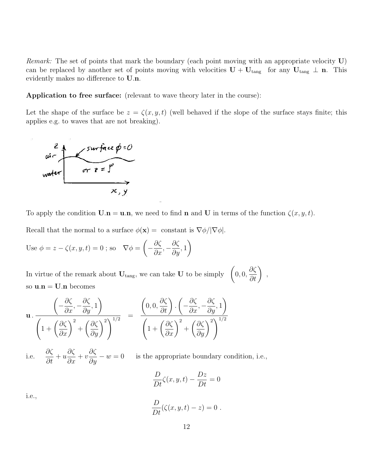*Remark:* The set of points that mark the boundary (each point moving with an appropriate velocity  $U$ ) can be replaced by another set of points moving with velocities  $U + U_{tang}$  for any  $U_{tang} \perp n$ . This evidently makes no difference to U.n.

Application to free surface: (relevant to wave theory later in the course):

Let the shape of the surface be  $z = \zeta(x, y, t)$  (well behaved if the slope of the surface stays finite; this applies e.g. to waves that are not breaking).



To apply the condition  $\mathbf{U}.\mathbf{n} = \mathbf{u}.\mathbf{n}$ , we need to find **n** and **U** in terms of the function  $\zeta(x, y, t)$ .

Recall that the normal to a surface  $\phi(\mathbf{x}) = \text{constant}$  is  $\nabla \phi / |\nabla \phi|$ .

Use 
$$
\phi = z - \zeta(x, y, t) = 0
$$
; so  $\nabla \phi = \left(-\frac{\partial \zeta}{\partial x}, -\frac{\partial \zeta}{\partial y}, 1\right)$ 

In virtue of the remark about  $U_{\text{tang}}$ , we can take U to be simply  $\left(0,0,0\right)$  $\frac{\partial \zeta}{\partial t}$  , so  $\mathbf{u}.\mathbf{n} = \mathbf{U}.\mathbf{n}$  becomes

$$
\mathbf{u} \cdot \frac{\left(-\frac{\partial \zeta}{\partial x}, -\frac{\partial \zeta}{\partial y}, 1\right)}{\left(1 + \left(\frac{\partial \zeta}{\partial x}\right)^2 + \left(\frac{\partial \zeta}{\partial y}\right)^2\right)^{1/2}} = \frac{\left(0, 0, \frac{\partial \zeta}{\partial t}\right) \cdot \left(-\frac{\partial \zeta}{\partial x}, -\frac{\partial \zeta}{\partial y}, 1\right)}{\left(1 + \left(\frac{\partial \zeta}{\partial x}\right)^2 + \left(\frac{\partial \zeta}{\partial y}\right)^2\right)^{1/2}}
$$

i.e. ∂ζ  $\frac{\partial s}{\partial t} + u$ ∂ζ  $rac{\partial s}{\partial x} + v$  $\frac{\partial \zeta}{\partial y} - w = 0$  is the appropriate boundary condition, i.e.,

$$
\frac{D}{Dt}\zeta(x,y,t) - \frac{Dz}{Dt} = 0
$$

i.e.,

$$
\frac{D}{Dt}(\zeta(x,y,t)-z)=0.
$$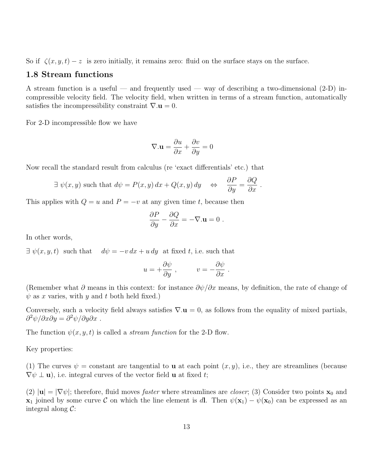So if  $\zeta(x, y, t) - z$  is zero initially, it remains zero: fluid on the surface stays on the surface.

### 1.8 Stream functions

A stream function is a useful — and frequently used — way of describing a two-dimensional  $(2-D)$  incompressible velocity field. The velocity field, when written in terms of a stream function, automatically satisfies the incompressibility constraint  $\nabla \cdot \mathbf{u} = 0$ .

For 2-D incompressible flow we have

$$
\nabla.\mathbf{u} = \frac{\partial u}{\partial x} + \frac{\partial v}{\partial y} = 0
$$

Now recall the standard result from calculus (re 'exact differentials' etc.) that

$$
\exists \psi(x, y) \text{ such that } d\psi = P(x, y) dx + Q(x, y) dy \iff \frac{\partial P}{\partial y} = \frac{\partial Q}{\partial x}.
$$

This applies with  $Q = u$  and  $P = -v$  at any given time t, because then

$$
\frac{\partial P}{\partial y} - \frac{\partial Q}{\partial x} = -\nabla \cdot \mathbf{u} = 0.
$$

In other words,

 $\exists \psi(x, y, t)$  such that  $d\psi = -v dx + u dy$  at fixed t, i.e. such that

$$
u = +\frac{\partial \psi}{\partial y}
$$
,  $v = -\frac{\partial \psi}{\partial x}$ .

(Remember what  $\partial$  means in this context: for instance  $\partial \psi/\partial x$  means, by definition, the rate of change of  $\psi$  as x varies, with y and t both held fixed.)

Conversely, such a velocity field always satisfies  $\nabla \mathbf{u} = 0$ , as follows from the equality of mixed partials,  $\partial^2 \psi / \partial x \partial y = \partial^2 \psi / \partial y \partial x$ .

The function  $\psi(x, y, t)$  is called a *stream function* for the 2-D flow.

Key properties:

(1) The curves  $\psi =$  constant are tangential to **u** at each point  $(x, y)$ , i.e., they are streamlines (because  $\nabla \psi \perp \mathbf{u}$ , i.e. integral curves of the vector field **u** at fixed t;

(2)  $|\mathbf{u}| = |\nabla \psi|$ ; therefore, fluid moves *faster* where streamlines are *closer*; (3) Consider two points  $\mathbf{x}_0$  and  $x_1$  joined by some curve C on which the line element is dl. Then  $\psi(x_1) - \psi(x_0)$  can be expressed as an integral along  $C$ :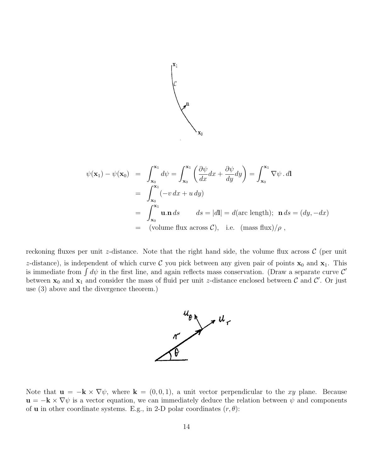

$$
\psi(\mathbf{x}_1) - \psi(\mathbf{x}_0) = \int_{\mathbf{x}_0}^{\mathbf{x}_1} d\psi = \int_{\mathbf{x}_0}^{\mathbf{x}_1} \left( \frac{\partial \psi}{dx} dx + \frac{\partial \psi}{dy} dy \right) = \int_{\mathbf{x}_0}^{\mathbf{x}_1} \nabla \psi \cdot d\mathbf{l}
$$
  
\n
$$
= \int_{\mathbf{x}_0}^{\mathbf{x}_1} (-v dx + u dy)
$$
  
\n
$$
= \int_{\mathbf{x}_0}^{\mathbf{x}_1} \mathbf{u} \cdot \mathbf{n} ds \qquad ds = |d\mathbf{l}| = d(\text{arc length}); \ \mathbf{n} ds = (dy, -dx)
$$
  
\n
$$
= (\text{volume flux across } C), \ \text{i.e. } (\text{mass flux})/\rho,
$$

reckoning fluxes per unit z-distance. Note that the right hand side, the volume flux across  $\mathcal{C}$  (per unit z-distance), is independent of which curve C you pick between any given pair of points  $x_0$  and  $x_1$ . This is immediate from  $\int d\psi$  in the first line, and again reflects mass conservation. (Draw a separate curve  $\mathcal{C}'$ between  $x_0$  and  $x_1$  and consider the mass of fluid per unit z-distance enclosed between C and C'. Or just use (3) above and the divergence theorem.)



Note that  $\mathbf{u} = -\mathbf{k} \times \nabla \psi$ , where  $\mathbf{k} = (0, 0, 1)$ , a unit vector perpendicular to the xy plane. Because  $\mathbf{u} = -\mathbf{k} \times \nabla \psi$  is a vector equation, we can immediately deduce the relation between  $\psi$  and components of **u** in other coordinate systems. E.g., in 2-D polar coordinates  $(r, \theta)$ :